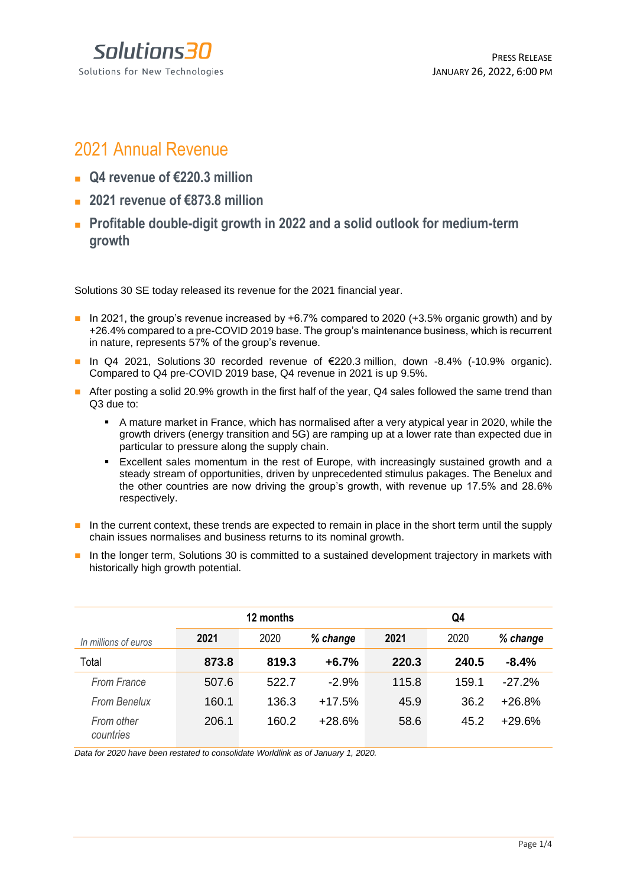Solutions 30 Solutions for New Technologies

# 2021 Annual Revenue

- <sup>◼</sup> **Q4 revenue of €220.3 million**
- 2021 revenue of €873.8 million
- Profitable double-digit growth in 2022 and a solid outlook for medium-term **growth**

Solutions 30 SE today released its revenue for the 2021 financial year.

- $\blacksquare$  In 2021, the group's revenue increased by +6.7% compared to 2020 (+3.5% organic growth) and by +26.4% compared to a pre-COVID 2019 base. The group's maintenance business, which is recurrent in nature, represents 57% of the group's revenue.
- In Q4 2021, Solutions 30 recorded revenue of €220.3 million, down -8.4% (-10.9% organic). Compared to Q4 pre-COVID 2019 base, Q4 revenue in 2021 is up 9.5%.
- After posting a solid 20.9% growth in the first half of the year, Q4 sales followed the same trend than Q3 due to:
	- A mature market in France, which has normalised after a very atypical year in 2020, while the growth drivers (energy transition and 5G) are ramping up at a lower rate than expected due in particular to pressure along the supply chain.
	- Excellent sales momentum in the rest of Europe, with increasingly sustained growth and a steady stream of opportunities, driven by unprecedented stimulus pakages. The Benelux and the other countries are now driving the group's growth, with revenue up 17.5% and 28.6% respectively.
- In the current context, these trends are expected to remain in place in the short term until the supply chain issues normalises and business returns to its nominal growth.
- In the longer term, Solutions 30 is committed to a sustained development trajectory in markets with historically high growth potential.

|                         |       | Q4    |          |       |       |          |
|-------------------------|-------|-------|----------|-------|-------|----------|
| In millions of euros    | 2021  | 2020  | % change | 2021  | 2020  | % change |
| Total                   | 873.8 | 819.3 | $+6.7%$  | 220.3 | 240.5 | $-8.4%$  |
| From France             | 507.6 | 522.7 | $-2.9%$  | 115.8 | 159.1 | $-27.2%$ |
| From Benelux            | 160.1 | 136.3 | $+17.5%$ | 45.9  | 36.2  | $+26.8%$ |
| From other<br>countries | 206.1 | 160.2 | $+28.6%$ | 58.6  | 45.2  | $+29.6%$ |

*Data for 2020 have been restated to consolidate Worldlink as of January 1, 2020.*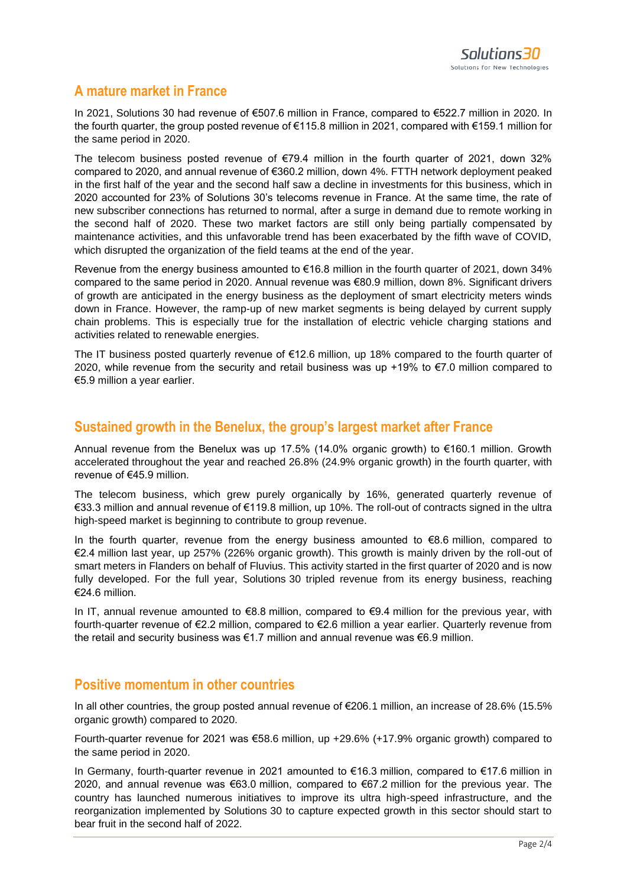# **A mature market in France**

In 2021, Solutions 30 had revenue of €507.6 million in France, compared to €522.7 million in 2020. In the fourth quarter, the group posted revenue of €115.8 million in 2021, compared with €159.1 million for the same period in 2020.

The telecom business posted revenue of  $\epsilon$ 79.4 million in the fourth quarter of 2021, down 32% compared to 2020, and annual revenue of €360.2 million, down 4%. FTTH network deployment peaked in the first half of the year and the second half saw a decline in investments for this business, which in 2020 accounted for 23% of Solutions 30's telecoms revenue in France. At the same time, the rate of new subscriber connections has returned to normal, after a surge in demand due to remote working in the second half of 2020. These two market factors are still only being partially compensated by maintenance activities, and this unfavorable trend has been exacerbated by the fifth wave of COVID, which disrupted the organization of the field teams at the end of the year.

Revenue from the energy business amounted to €16.8 million in the fourth quarter of 2021, down 34% compared to the same period in 2020. Annual revenue was €80.9 million, down 8%. Significant drivers of growth are anticipated in the energy business as the deployment of smart electricity meters winds down in France. However, the ramp-up of new market segments is being delayed by current supply chain problems. This is especially true for the installation of electric vehicle charging stations and activities related to renewable energies.

The IT business posted quarterly revenue of  $\epsilon$ 12.6 million, up 18% compared to the fourth quarter of 2020, while revenue from the security and retail business was up +19% to €7.0 million compared to €5.9 million a year earlier.

### **Sustained growth in the Benelux, the group's largest market after France**

Annual revenue from the Benelux was up 17.5% (14.0% organic growth) to €160.1 million. Growth accelerated throughout the year and reached 26.8% (24.9% organic growth) in the fourth quarter, with revenue of €45.9 million.

The telecom business, which grew purely organically by 16%, generated quarterly revenue of €33.3 million and annual revenue of €119.8 million, up 10%. The roll-out of contracts signed in the ultra high-speed market is beginning to contribute to group revenue.

In the fourth quarter, revenue from the energy business amounted to  $\epsilon$ 8.6 million, compared to €2.4 million last year, up 257% (226% organic growth). This growth is mainly driven by the roll-out of smart meters in Flanders on behalf of Fluvius. This activity started in the first quarter of 2020 and is now fully developed. For the full year, Solutions 30 tripled revenue from its energy business, reaching €24.6 million.

In IT, annual revenue amounted to  $\epsilon$ 8.8 million, compared to  $\epsilon$ 9.4 million for the previous year, with fourth-quarter revenue of €2.2 million, compared to €2.6 million a year earlier. Quarterly revenue from the retail and security business was  $\epsilon$ 1.7 million and annual revenue was  $\epsilon$ 6.9 million.

### **Positive momentum in other countries**

In all other countries, the group posted annual revenue of €206.1 million, an increase of 28.6% (15.5% organic growth) compared to 2020.

Fourth-quarter revenue for 2021 was €58.6 million, up +29.6% (+17.9% organic growth) compared to the same period in 2020.

In Germany, fourth-quarter revenue in 2021 amounted to €16.3 million, compared to €17.6 million in 2020, and annual revenue was €63.0 million, compared to €67.2 million for the previous year. The country has launched numerous initiatives to improve its ultra high-speed infrastructure, and the reorganization implemented by Solutions 30 to capture expected growth in this sector should start to bear fruit in the second half of 2022.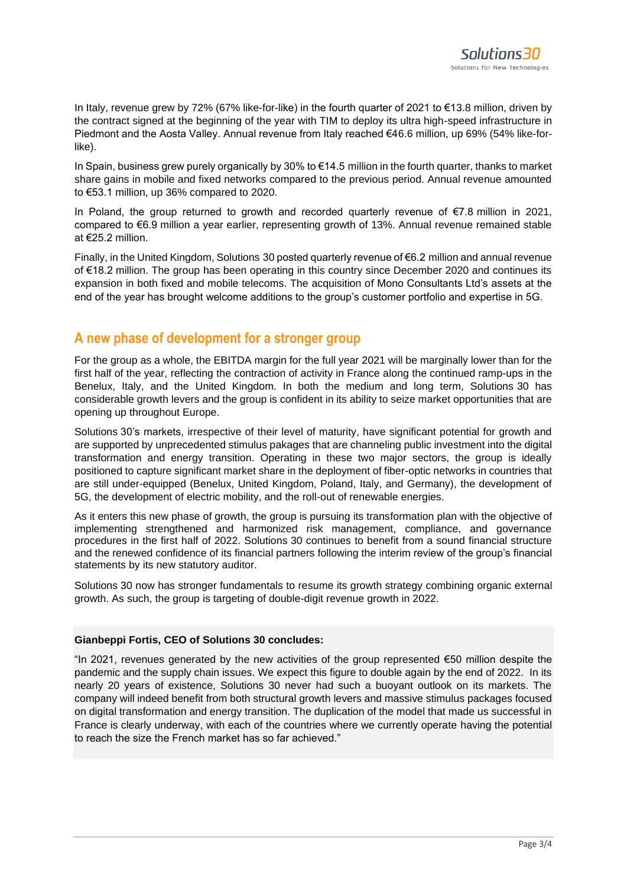In Italy, revenue grew by 72% (67% like-for-like) in the fourth quarter of 2021 to €13.8 million, driven by the contract signed at the beginning of the year with TIM to deploy its ultra high-speed infrastructure in Piedmont and the Aosta Valley. Annual revenue from Italy reached €46.6 million, up 69% (54% like-forlike).

In Spain, business grew purely organically by 30% to €14.5 million in the fourth quarter, thanks to market share gains in mobile and fixed networks compared to the previous period. Annual revenue amounted to €53.1 million, up 36% compared to 2020.

In Poland, the group returned to growth and recorded quarterly revenue of €7.8 million in 2021, compared to €6.9 million a year earlier, representing growth of 13%. Annual revenue remained stable at €25.2 million.

Finally, in the United Kingdom, Solutions 30 posted quarterly revenue of €6.2 million and annual revenue of €18.2 million. The group has been operating in this country since December 2020 and continues its expansion in both fixed and mobile telecoms. The acquisition of Mono Consultants Ltd's assets at the end of the year has brought welcome additions to the group's customer portfolio and expertise in 5G.

## **A new phase of development for a stronger group**

For the group as a whole, the EBITDA margin for the full year 2021 will be marginally lower than for the first half of the year, reflecting the contraction of activity in France along the continued ramp-ups in the Benelux, Italy, and the United Kingdom. In both the medium and long term, Solutions 30 has considerable growth levers and the group is confident in its ability to seize market opportunities that are opening up throughout Europe.

Solutions 30's markets, irrespective of their level of maturity, have significant potential for growth and are supported by unprecedented stimulus pakages that are channeling public investment into the digital transformation and energy transition. Operating in these two major sectors, the group is ideally positioned to capture significant market share in the deployment of fiber-optic networks in countries that are still under-equipped (Benelux, United Kingdom, Poland, Italy, and Germany), the development of 5G, the development of electric mobility, and the roll-out of renewable energies.

As it enters this new phase of growth, the group is pursuing its transformation plan with the objective of implementing strengthened and harmonized risk management, compliance, and governance procedures in the first half of 2022. Solutions 30 continues to benefit from a sound financial structure and the renewed confidence of its financial partners following the interim review of the group's financial statements by its new statutory auditor.

Solutions 30 now has stronger fundamentals to resume its growth strategy combining organic external growth. As such, the group is targeting of double-digit revenue growth in 2022.

#### **Gianbeppi Fortis, CEO of Solutions 30 concludes:**

"In 2021, revenues generated by the new activities of the group represented €50 million despite the pandemic and the supply chain issues. We expect this figure to double again by the end of 2022. In its nearly 20 years of existence, Solutions 30 never had such a buoyant outlook on its markets. The company will indeed benefit from both structural growth levers and massive stimulus packages focused on digital transformation and energy transition. The duplication of the model that made us successful in France is clearly underway, with each of the countries where we currently operate having the potential to reach the size the French market has so far achieved."